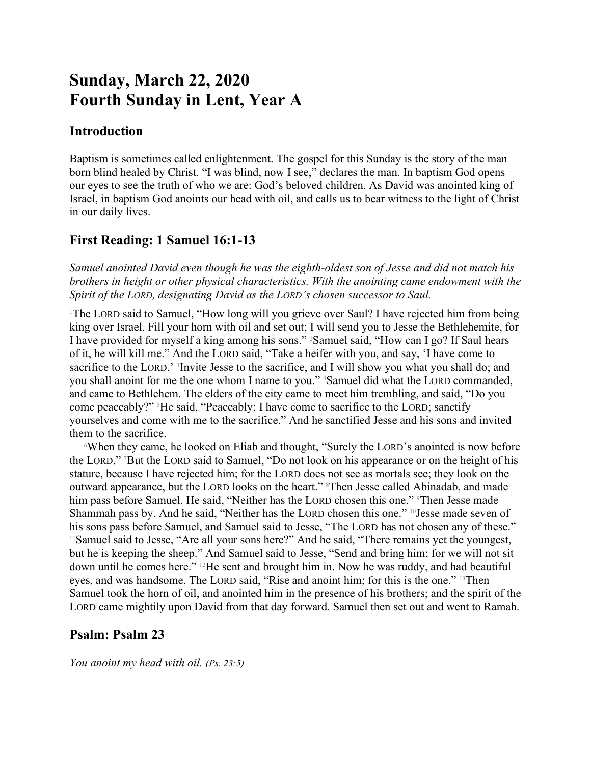# **Sunday, March 22, 2020 Fourth Sunday in Lent, Year A**

## **Introduction**

Baptism is sometimes called enlightenment. The gospel for this Sunday is the story of the man born blind healed by Christ. "I was blind, now I see," declares the man. In baptism God opens our eyes to see the truth of who we are: God's beloved children. As David was anointed king of Israel, in baptism God anoints our head with oil, and calls us to bear witness to the light of Christ in our daily lives.

# **First Reading: 1 Samuel 16:1-13**

*Samuel anointed David even though he was the eighth-oldest son of Jesse and did not match his brothers in height or other physical characteristics. With the anointing came endowment with the Spirit of the LORD, designating David as the LORD's chosen successor to Saul.*

<sup>1</sup>The LORD said to Samuel, "How long will you grieve over Saul? I have rejected him from being king over Israel. Fill your horn with oil and set out; I will send you to Jesse the Bethlehemite, for I have provided for myself a king among his sons." 2Samuel said, "How can I go? If Saul hears of it, he will kill me." And the LORD said, "Take a heifer with you, and say, 'I have come to sacrifice to the LORD.' <sup>3</sup>Invite Jesse to the sacrifice, and I will show you what you shall do; and you shall anoint for me the one whom I name to you." 4Samuel did what the LORD commanded, and came to Bethlehem. The elders of the city came to meet him trembling, and said, "Do you come peaceably?" 5He said, "Peaceably; I have come to sacrifice to the LORD; sanctify yourselves and come with me to the sacrifice." And he sanctified Jesse and his sons and invited them to the sacrifice.

<sup>6</sup>When they came, he looked on Eliab and thought, "Surely the LORD's anointed is now before the LORD." 7But the LORD said to Samuel, "Do not look on his appearance or on the height of his stature, because I have rejected him; for the LORD does not see as mortals see; they look on the outward appearance, but the LORD looks on the heart." <sup>8</sup>Then Jesse called Abinadab, and made him pass before Samuel. He said, "Neither has the LORD chosen this one." Then Jesse made Shammah pass by. And he said, "Neither has the LORD chosen this one."  $\frac{10}{10}$  Jesse made seven of his sons pass before Samuel, and Samuel said to Jesse, "The LORD has not chosen any of these." <sup>11</sup>Samuel said to Jesse, "Are all your sons here?" And he said, "There remains yet the youngest, but he is keeping the sheep." And Samuel said to Jesse, "Send and bring him; for we will not sit down until he comes here." 12He sent and brought him in. Now he was ruddy, and had beautiful eyes, and was handsome. The LORD said, "Rise and anoint him; for this is the one." 13Then Samuel took the horn of oil, and anointed him in the presence of his brothers; and the spirit of the LORD came mightily upon David from that day forward. Samuel then set out and went to Ramah.

## **Psalm: Psalm 23**

*You anoint my head with oil. (Ps. 23:5)*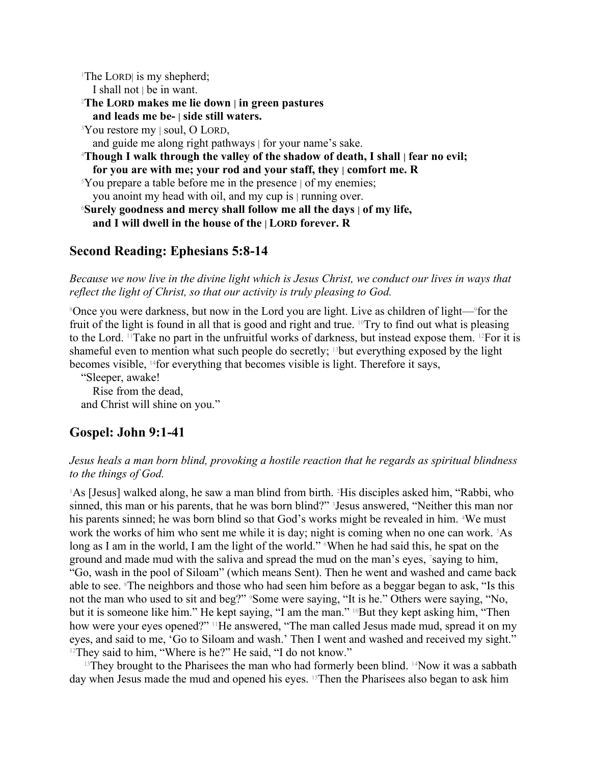<sup>1</sup>The LORD is my shepherd; I shall not | be in want. <sup>2</sup>**The LORD makes me lie down | in green pastures and leads me be- | side still waters.** <sup>3</sup>You restore my | soul, O LORD, and guide me along right pathways | for your name's sake. <sup>4</sup>**Though I walk through the valley of the shadow of death, I shall | fear no evil; for you are with me; your rod and your staff, they | comfort me. R** <sup>5</sup>You prepare a table before me in the presence  $\vert$  of my enemies; you anoint my head with oil, and my cup is | running over. <sup>6</sup>**Surely goodness and mercy shall follow me all the days | of my life,**

## **and I will dwell in the house of the | LORD forever. R**

### **Second Reading: Ephesians 5:8-14**

*Because we now live in the divine light which is Jesus Christ, we conduct our lives in ways that reflect the light of Christ, so that our activity is truly pleasing to God.*

<sup>8</sup>Once you were darkness, but now in the Lord you are light. Live as children of light—<sup>9</sup>for the fruit of the light is found in all that is good and right and true. 10Try to find out what is pleasing to the Lord. 11Take no part in the unfruitful works of darkness, but instead expose them. 12For it is shameful even to mention what such people do secretly;  $13$  but everything exposed by the light becomes visible, 14for everything that becomes visible is light. Therefore it says,

"Sleeper, awake!

Rise from the dead, and Christ will shine on you."

#### **Gospel: John 9:1-41**

#### *Jesus heals a man born blind, provoking a hostile reaction that he regards as spiritual blindness to the things of God.*

<sup>1</sup>As [Jesus] walked along, he saw a man blind from birth. <sup>2</sup>His disciples asked him, "Rabbi, who sinned, this man or his parents, that he was born blind?" <sup>3</sup> Jesus answered, "Neither this man nor his parents sinned; he was born blind so that God's works might be revealed in him. <sup>4</sup>We must work the works of him who sent me while it is day; night is coming when no one can work. <sup>5</sup>As long as I am in the world, I am the light of the world." When he had said this, he spat on the ground and made mud with the saliva and spread the mud on the man's eyes, 7saying to him, "Go, wash in the pool of Siloam" (which means Sent). Then he went and washed and came back able to see. <sup>8</sup>The neighbors and those who had seen him before as a beggar began to ask, "Is this not the man who used to sit and beg?" <sup>9</sup>Some were saying, "It is he." Others were saying, "No, but it is someone like him." He kept saying, "I am the man." <sup>10</sup>But they kept asking him, "Then how were your eyes opened?" <sup>11</sup>He answered, "The man called Jesus made mud, spread it on my eyes, and said to me, 'Go to Siloam and wash.' Then I went and washed and received my sight." <sup>12</sup>They said to him, "Where is he?" He said, "I do not know."

 $13$ They brought to the Pharisees the man who had formerly been blind.  $14$ Now it was a sabbath day when Jesus made the mud and opened his eyes. <sup>15</sup>Then the Pharisees also began to ask him